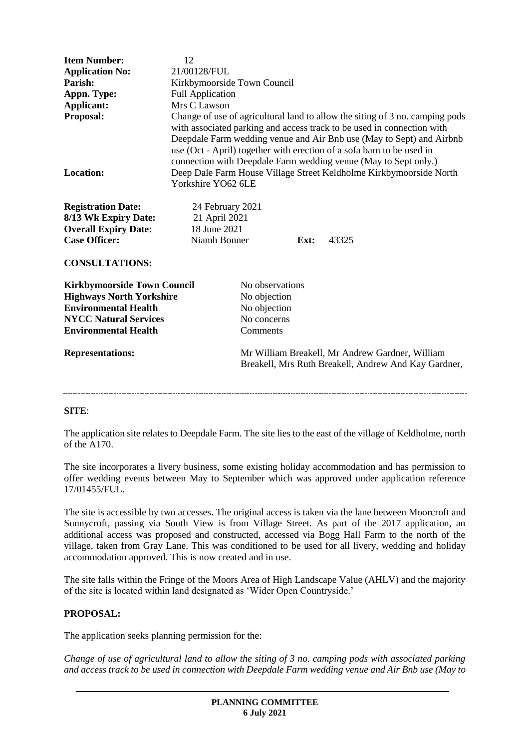| <b>Item Number:</b><br><b>Application No:</b><br>Parish:<br>Appn. Type:<br>Applicant:<br>Proposal:<br><b>Location:</b><br><b>Registration Date:</b><br>8/13 Wk Expiry Date:<br><b>Overall Expiry Date:</b><br><b>Case Officer:</b><br><b>CONSULTATIONS:</b> | 12<br>21/00128/FUL<br>Kirkbymoorside Town Council<br><b>Full Application</b><br>Mrs C Lawson<br>Change of use of agricultural land to allow the siting of 3 no. camping pods<br>with associated parking and access track to be used in connection with<br>Deepdale Farm wedding venue and Air Bnb use (May to Sept) and Airbnb<br>use (Oct - April) together with erection of a sofa barn to be used in<br>connection with Deepdale Farm wedding venue (May to Sept only.)<br>Deep Dale Farm House Village Street Keldholme Kirkbymoorside North<br>Yorkshire YO62 6LE<br>24 February 2021<br>21 April 2021<br>18 June 2021<br>Niamh Bonner<br>Ext:<br>43325 |
|-------------------------------------------------------------------------------------------------------------------------------------------------------------------------------------------------------------------------------------------------------------|--------------------------------------------------------------------------------------------------------------------------------------------------------------------------------------------------------------------------------------------------------------------------------------------------------------------------------------------------------------------------------------------------------------------------------------------------------------------------------------------------------------------------------------------------------------------------------------------------------------------------------------------------------------|
| <b>Kirkbymoorside Town Council</b><br><b>Highways North Yorkshire</b><br><b>Environmental Health</b><br><b>NYCC Natural Services</b><br><b>Environmental Health</b>                                                                                         | No observations<br>No objection<br>No objection<br>No concerns<br>Comments                                                                                                                                                                                                                                                                                                                                                                                                                                                                                                                                                                                   |
| <b>Representations:</b>                                                                                                                                                                                                                                     | Mr William Breakell, Mr Andrew Gardner, William<br>Breakell, Mrs Ruth Breakell, Andrew And Kay Gardner,                                                                                                                                                                                                                                                                                                                                                                                                                                                                                                                                                      |

## **SITE**:

The application site relates to Deepdale Farm. The site lies to the east of the village of Keldholme, north of the A170.

The site incorporates a livery business, some existing holiday accommodation and has permission to offer wedding events between May to September which was approved under application reference 17/01455/FUL.

The site is accessible by two accesses. The original access is taken via the lane between Moorcroft and Sunnycroft, passing via South View is from Village Street. As part of the 2017 application, an additional access was proposed and constructed, accessed via Bogg Hall Farm to the north of the village, taken from Gray Lane. This was conditioned to be used for all livery, wedding and holiday accommodation approved. This is now created and in use.

The site falls within the Fringe of the Moors Area of High Landscape Value (AHLV) and the majority of the site is located within land designated as 'Wider Open Countryside.'

### **PROPOSAL:**

The application seeks planning permission for the:

*Change of use of agricultural land to allow the siting of 3 no. camping pods with associated parking and access track to be used in connection with Deepdale Farm wedding venue and Air Bnb use (May to*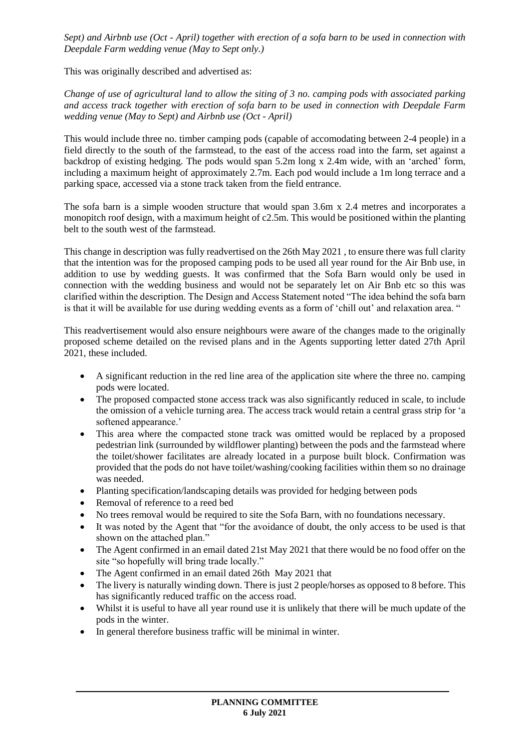*Sept) and Airbnb use (Oct - April) together with erection of a sofa barn to be used in connection with Deepdale Farm wedding venue (May to Sept only.)*

This was originally described and advertised as:

*Change of use of agricultural land to allow the siting of 3 no. camping pods with associated parking and access track together with erection of sofa barn to be used in connection with Deepdale Farm wedding venue (May to Sept) and Airbnb use (Oct - April)*

This would include three no. timber camping pods (capable of accomodating between 2-4 people) in a field directly to the south of the farmstead, to the east of the access road into the farm, set against a backdrop of existing hedging. The pods would span 5.2m long x 2.4m wide, with an 'arched' form, including a maximum height of approximately 2.7m. Each pod would include a 1m long terrace and a parking space, accessed via a stone track taken from the field entrance.

The sofa barn is a simple wooden structure that would span 3.6m x 2.4 metres and incorporates a monopitch roof design, with a maximum height of c2.5m. This would be positioned within the planting belt to the south west of the farmstead.

This change in description was fully readvertised on the 26th May 2021 , to ensure there was full clarity that the intention was for the proposed camping pods to be used all year round for the Air Bnb use, in addition to use by wedding guests. It was confirmed that the Sofa Barn would only be used in connection with the wedding business and would not be separately let on Air Bnb etc so this was clarified within the description. The Design and Access Statement noted "The idea behind the sofa barn is that it will be available for use during wedding events as a form of 'chill out' and relaxation area. "

This readvertisement would also ensure neighbours were aware of the changes made to the originally proposed scheme detailed on the revised plans and in the Agents supporting letter dated 27th April 2021, these included.

- A significant reduction in the red line area of the application site where the three no. camping pods were located.
- The proposed compacted stone access track was also significantly reduced in scale, to include the omission of a vehicle turning area. The access track would retain a central grass strip for 'a softened appearance.'
- This area where the compacted stone track was omitted would be replaced by a proposed pedestrian link (surrounded by wildflower planting) between the pods and the farmstead where the toilet/shower facilitates are already located in a purpose built block. Confirmation was provided that the pods do not have toilet/washing/cooking facilities within them so no drainage was needed.
- Planting specification/landscaping details was provided for hedging between pods
- Removal of reference to a reed bed
- No trees removal would be required to site the Sofa Barn, with no foundations necessary.
- It was noted by the Agent that "for the avoidance of doubt, the only access to be used is that shown on the attached plan."
- The Agent confirmed in an email dated 21st May 2021 that there would be no food offer on the site "so hopefully will bring trade locally."
- The Agent confirmed in an email dated 26th May 2021 that
- The livery is naturally winding down. There is just 2 people/horses as opposed to 8 before. This has significantly reduced traffic on the access road.
- Whilst it is useful to have all year round use it is unlikely that there will be much update of the pods in the winter.
- In general therefore business traffic will be minimal in winter.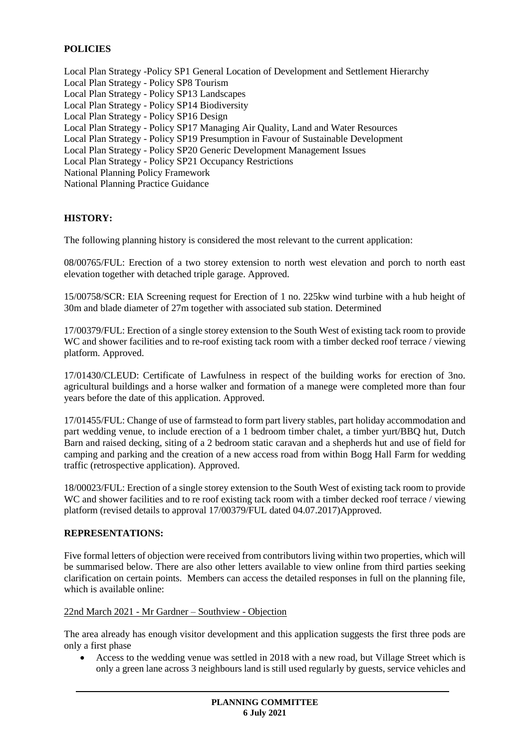## **POLICIES**

Local Plan Strategy -Policy SP1 General Location of Development and Settlement Hierarchy Local Plan Strategy - Policy SP8 Tourism Local Plan Strategy - Policy SP13 Landscapes Local Plan Strategy - Policy SP14 Biodiversity Local Plan Strategy - Policy SP16 Design Local Plan Strategy - Policy SP17 Managing Air Quality, Land and Water Resources Local Plan Strategy - Policy SP19 Presumption in Favour of Sustainable Development Local Plan Strategy - Policy SP20 Generic Development Management Issues Local Plan Strategy - Policy SP21 Occupancy Restrictions National Planning Policy Framework National Planning Practice Guidance

## **HISTORY:**

The following planning history is considered the most relevant to the current application:

08/00765/FUL: Erection of a two storey extension to north west elevation and porch to north east elevation together with detached triple garage. Approved.

15/00758/SCR: EIA Screening request for Erection of 1 no. 225kw wind turbine with a hub height of 30m and blade diameter of 27m together with associated sub station. Determined

17/00379/FUL: Erection of a single storey extension to the South West of existing tack room to provide WC and shower facilities and to re-roof existing tack room with a timber decked roof terrace / viewing platform. Approved.

17/01430/CLEUD: Certificate of Lawfulness in respect of the building works for erection of 3no. agricultural buildings and a horse walker and formation of a manege were completed more than four years before the date of this application. Approved.

17/01455/FUL: Change of use of farmstead to form part livery stables, part holiday accommodation and part wedding venue, to include erection of a 1 bedroom timber chalet, a timber yurt/BBQ hut, Dutch Barn and raised decking, siting of a 2 bedroom static caravan and a shepherds hut and use of field for camping and parking and the creation of a new access road from within Bogg Hall Farm for wedding traffic (retrospective application). Approved.

18/00023/FUL: Erection of a single storey extension to the South West of existing tack room to provide WC and shower facilities and to re roof existing tack room with a timber decked roof terrace / viewing platform (revised details to approval 17/00379/FUL dated 04.07.2017)Approved.

## **REPRESENTATIONS:**

Five formal letters of objection were received from contributors living within two properties, which will be summarised below. There are also other letters available to view online from third parties seeking clarification on certain points. Members can access the detailed responses in full on the planning file, which is available online:

### 22nd March 2021 - Mr Gardner – Southview - Objection

The area already has enough visitor development and this application suggests the first three pods are only a first phase

 Access to the wedding venue was settled in 2018 with a new road, but Village Street which is only a green lane across 3 neighbours land is still used regularly by guests, service vehicles and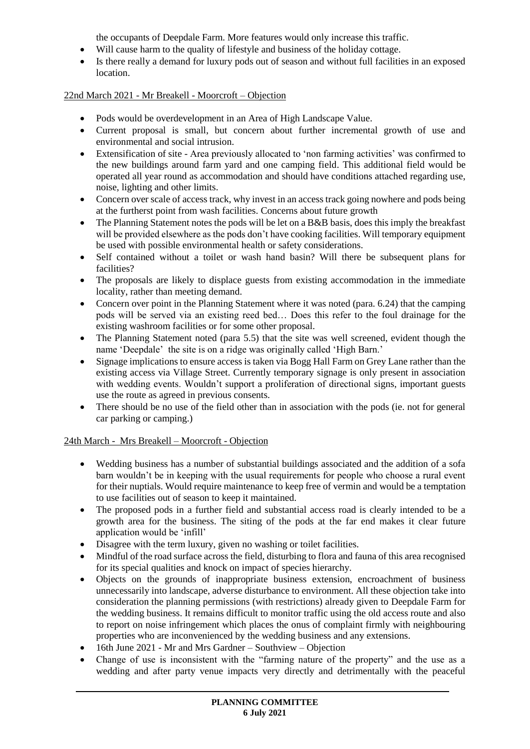the occupants of Deepdale Farm. More features would only increase this traffic.

- Will cause harm to the quality of lifestyle and business of the holiday cottage.
- Is there really a demand for luxury pods out of season and without full facilities in an exposed location.

# 22nd March 2021 - Mr Breakell - Moorcroft – Objection

- Pods would be overdevelopment in an Area of High Landscape Value.
- Current proposal is small, but concern about further incremental growth of use and environmental and social intrusion.
- Extensification of site Area previously allocated to 'non farming activities' was confirmed to the new buildings around farm yard and one camping field. This additional field would be operated all year round as accommodation and should have conditions attached regarding use, noise, lighting and other limits.
- Concern over scale of access track, why invest in an access track going nowhere and pods being at the furtherst point from wash facilities. Concerns about future growth
- The Planning Statement notes the pods will be let on a B&B basis, does this imply the breakfast will be provided elsewhere as the pods don't have cooking facilities. Will temporary equipment be used with possible environmental health or safety considerations.
- Self contained without a toilet or wash hand basin? Will there be subsequent plans for facilities?
- The proposals are likely to displace guests from existing accommodation in the immediate locality, rather than meeting demand.
- Concern over point in the Planning Statement where it was noted (para. 6.24) that the camping pods will be served via an existing reed bed… Does this refer to the foul drainage for the existing washroom facilities or for some other proposal.
- The Planning Statement noted (para 5.5) that the site was well screened, evident though the name 'Deepdale' the site is on a ridge was originally called 'High Barn.'
- Signage implications to ensure access is taken via Bogg Hall Farm on Grey Lane rather than the existing access via Village Street. Currently temporary signage is only present in association with wedding events. Wouldn't support a proliferation of directional signs, important guests use the route as agreed in previous consents.
- There should be no use of the field other than in association with the pods (ie. not for general car parking or camping.)

## 24th March - Mrs Breakell – Moorcroft - Objection

- Wedding business has a number of substantial buildings associated and the addition of a sofa barn wouldn't be in keeping with the usual requirements for people who choose a rural event for their nuptials. Would require maintenance to keep free of vermin and would be a temptation to use facilities out of season to keep it maintained.
- The proposed pods in a further field and substantial access road is clearly intended to be a growth area for the business. The siting of the pods at the far end makes it clear future application would be 'infill'
- Disagree with the term luxury, given no washing or toilet facilities.
- Mindful of the road surface across the field, disturbing to flora and fauna of this area recognised for its special qualities and knock on impact of species hierarchy.
- Objects on the grounds of inappropriate business extension, encroachment of business unnecessarily into landscape, adverse disturbance to environment. All these objection take into consideration the planning permissions (with restrictions) already given to Deepdale Farm for the wedding business. It remains difficult to monitor traffic using the old access route and also to report on noise infringement which places the onus of complaint firmly with neighbouring properties who are inconvenienced by the wedding business and any extensions.
- 16th June 2021 Mr and Mrs Gardner Southview Objection
- Change of use is inconsistent with the "farming nature of the property" and the use as a wedding and after party venue impacts very directly and detrimentally with the peaceful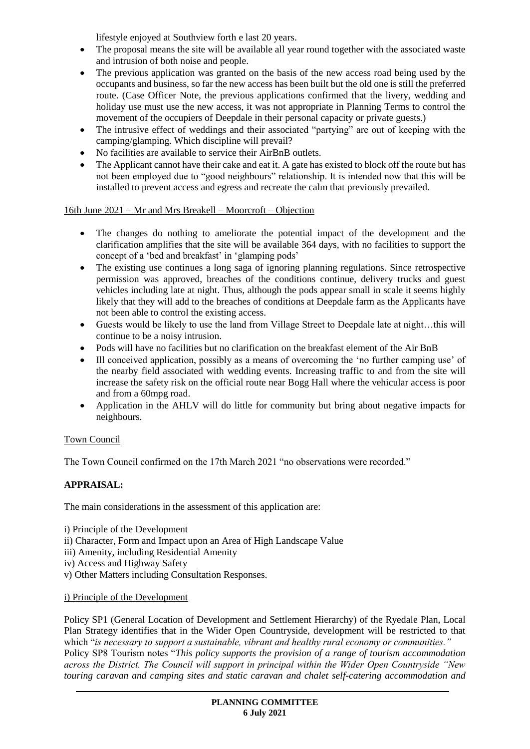lifestyle enjoyed at Southview forth e last 20 years.

- The proposal means the site will be available all year round together with the associated waste and intrusion of both noise and people.
- The previous application was granted on the basis of the new access road being used by the occupants and business, so far the new access has been built but the old one is still the preferred route. (Case Officer Note, the previous applications confirmed that the livery, wedding and holiday use must use the new access, it was not appropriate in Planning Terms to control the movement of the occupiers of Deepdale in their personal capacity or private guests.)
- The intrusive effect of weddings and their associated "partying" are out of keeping with the camping/glamping. Which discipline will prevail?
- No facilities are available to service their AirBnB outlets.
- The Applicant cannot have their cake and eat it. A gate has existed to block off the route but has not been employed due to "good neighbours" relationship. It is intended now that this will be installed to prevent access and egress and recreate the calm that previously prevailed.

## 16th June 2021 – Mr and Mrs Breakell – Moorcroft – Objection

- The changes do nothing to ameliorate the potential impact of the development and the clarification amplifies that the site will be available 364 days, with no facilities to support the concept of a 'bed and breakfast' in 'glamping pods'
- The existing use continues a long saga of ignoring planning regulations. Since retrospective permission was approved, breaches of the conditions continue, delivery trucks and guest vehicles including late at night. Thus, although the pods appear small in scale it seems highly likely that they will add to the breaches of conditions at Deepdale farm as the Applicants have not been able to control the existing access.
- Guests would be likely to use the land from Village Street to Deepdale late at night…this will continue to be a noisy intrusion.
- Pods will have no facilities but no clarification on the breakfast element of the Air BnB
- Ill conceived application, possibly as a means of overcoming the 'no further camping use' of the nearby field associated with wedding events. Increasing traffic to and from the site will increase the safety risk on the official route near Bogg Hall where the vehicular access is poor and from a 60mpg road.
- Application in the AHLV will do little for community but bring about negative impacts for neighbours.

# Town Council

The Town Council confirmed on the 17th March 2021 "no observations were recorded."

# **APPRAISAL:**

The main considerations in the assessment of this application are:

- i) Principle of the Development
- ii) Character, Form and Impact upon an Area of High Landscape Value
- iii) Amenity, including Residential Amenity
- iv) Access and Highway Safety
- v) Other Matters including Consultation Responses.

## i) Principle of the Development

Policy SP1 (General Location of Development and Settlement Hierarchy) of the Ryedale Plan, Local Plan Strategy identifies that in the Wider Open Countryside, development will be restricted to that which "*is necessary to support a sustainable, vibrant and healthy rural economy or communities."* Policy SP8 Tourism notes "*This policy supports the provision of a range of tourism accommodation across the District. The Council will support in principal within the Wider Open Countryside "New touring caravan and camping sites and static caravan and chalet self-catering accommodation and*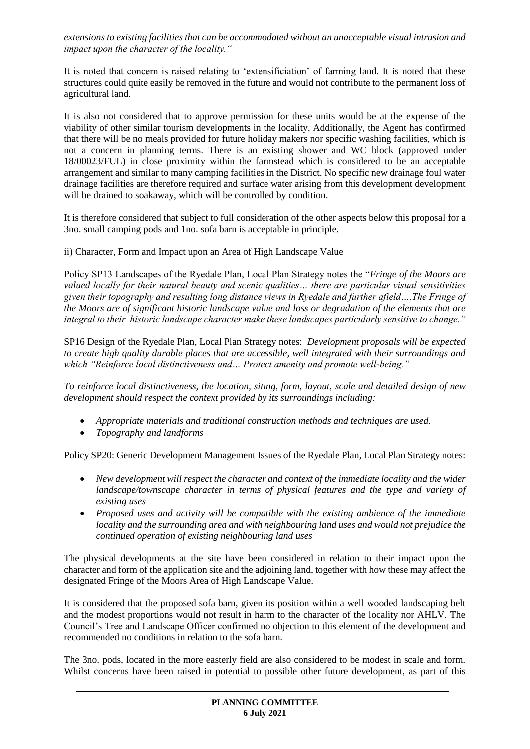*extensions to existing facilities that can be accommodated without an unacceptable visual intrusion and impact upon the character of the locality."*

It is noted that concern is raised relating to 'extensificiation' of farming land. It is noted that these structures could quite easily be removed in the future and would not contribute to the permanent loss of agricultural land.

It is also not considered that to approve permission for these units would be at the expense of the viability of other similar tourism developments in the locality. Additionally, the Agent has confirmed that there will be no meals provided for future holiday makers nor specific washing facilities, which is not a concern in planning terms. There is an existing shower and WC block (approved under 18/00023/FUL) in close proximity within the farmstead which is considered to be an acceptable arrangement and similar to many camping facilities in the District. No specific new drainage foul water drainage facilities are therefore required and surface water arising from this development development will be drained to soakaway, which will be controlled by condition.

It is therefore considered that subject to full consideration of the other aspects below this proposal for a 3no. small camping pods and 1no. sofa barn is acceptable in principle.

### ii) Character, Form and Impact upon an Area of High Landscape Value

Policy SP13 Landscapes of the Ryedale Plan, Local Plan Strategy notes the "*Fringe of the Moors are valued locally for their natural beauty and scenic qualities… there are particular visual sensitivities given their topography and resulting long distance views in Ryedale and further afield….The Fringe of the Moors are of significant historic landscape value and loss or degradation of the elements that are integral to their historic landscape character make these landscapes particularly sensitive to change."*

SP16 Design of the Ryedale Plan, Local Plan Strategy notes: *Development proposals will be expected to create high quality durable places that are accessible, well integrated with their surroundings and which "Reinforce local distinctiveness and… Protect amenity and promote well-being."*

*To reinforce local distinctiveness, the location, siting, form, layout, scale and detailed design of new development should respect the context provided by its surroundings including:*

- *Appropriate materials and traditional construction methods and techniques are used.*
- *Topography and landforms*

Policy SP20: Generic Development Management Issues of the Ryedale Plan, Local Plan Strategy notes:

- *New development will respect the character and context of the immediate locality and the wider landscape/townscape character in terms of physical features and the type and variety of existing uses*
- *Proposed uses and activity will be compatible with the existing ambience of the immediate locality and the surrounding area and with neighbouring land uses and would not prejudice the continued operation of existing neighbouring land uses*

The physical developments at the site have been considered in relation to their impact upon the character and form of the application site and the adjoining land, together with how these may affect the designated Fringe of the Moors Area of High Landscape Value.

It is considered that the proposed sofa barn, given its position within a well wooded landscaping belt and the modest proportions would not result in harm to the character of the locality nor AHLV. The Council's Tree and Landscape Officer confirmed no objection to this element of the development and recommended no conditions in relation to the sofa barn.

The 3no. pods, located in the more easterly field are also considered to be modest in scale and form. Whilst concerns have been raised in potential to possible other future development, as part of this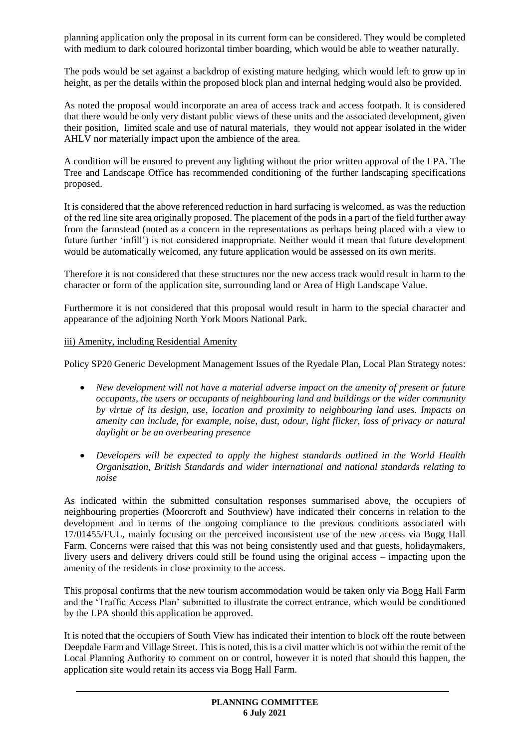planning application only the proposal in its current form can be considered. They would be completed with medium to dark coloured horizontal timber boarding, which would be able to weather naturally.

The pods would be set against a backdrop of existing mature hedging, which would left to grow up in height, as per the details within the proposed block plan and internal hedging would also be provided.

As noted the proposal would incorporate an area of access track and access footpath. It is considered that there would be only very distant public views of these units and the associated development, given their position, limited scale and use of natural materials, they would not appear isolated in the wider AHLV nor materially impact upon the ambience of the area.

A condition will be ensured to prevent any lighting without the prior written approval of the LPA. The Tree and Landscape Office has recommended conditioning of the further landscaping specifications proposed.

It is considered that the above referenced reduction in hard surfacing is welcomed, as was the reduction of the red line site area originally proposed. The placement of the pods in a part of the field further away from the farmstead (noted as a concern in the representations as perhaps being placed with a view to future further 'infill') is not considered inappropriate. Neither would it mean that future development would be automatically welcomed, any future application would be assessed on its own merits.

Therefore it is not considered that these structures nor the new access track would result in harm to the character or form of the application site, surrounding land or Area of High Landscape Value.

Furthermore it is not considered that this proposal would result in harm to the special character and appearance of the adjoining North York Moors National Park.

### iii) Amenity, including Residential Amenity

Policy SP20 Generic Development Management Issues of the Ryedale Plan, Local Plan Strategy notes:

- *New development will not have a material adverse impact on the amenity of present or future occupants, the users or occupants of neighbouring land and buildings or the wider community by virtue of its design, use, location and proximity to neighbouring land uses. Impacts on amenity can include, for example, noise, dust, odour, light flicker, loss of privacy or natural daylight or be an overbearing presence*
- *Developers will be expected to apply the highest standards outlined in the World Health Organisation, British Standards and wider international and national standards relating to noise*

As indicated within the submitted consultation responses summarised above, the occupiers of neighbouring properties (Moorcroft and Southview) have indicated their concerns in relation to the development and in terms of the ongoing compliance to the previous conditions associated with 17/01455/FUL, mainly focusing on the perceived inconsistent use of the new access via Bogg Hall Farm. Concerns were raised that this was not being consistently used and that guests, holidaymakers, livery users and delivery drivers could still be found using the original access – impacting upon the amenity of the residents in close proximity to the access.

This proposal confirms that the new tourism accommodation would be taken only via Bogg Hall Farm and the 'Traffic Access Plan' submitted to illustrate the correct entrance, which would be conditioned by the LPA should this application be approved.

It is noted that the occupiers of South View has indicated their intention to block off the route between Deepdale Farm and Village Street. This is noted, this is a civil matter which is not within the remit of the Local Planning Authority to comment on or control, however it is noted that should this happen, the application site would retain its access via Bogg Hall Farm.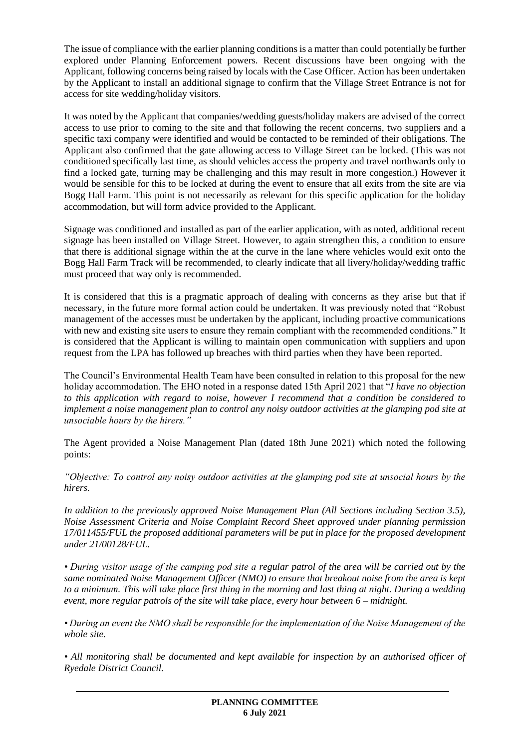The issue of compliance with the earlier planning conditions is a matter than could potentially be further explored under Planning Enforcement powers. Recent discussions have been ongoing with the Applicant, following concerns being raised by locals with the Case Officer. Action has been undertaken by the Applicant to install an additional signage to confirm that the Village Street Entrance is not for access for site wedding/holiday visitors.

It was noted by the Applicant that companies/wedding guests/holiday makers are advised of the correct access to use prior to coming to the site and that following the recent concerns, two suppliers and a specific taxi company were identified and would be contacted to be reminded of their obligations. The Applicant also confirmed that the gate allowing access to Village Street can be locked. (This was not conditioned specifically last time, as should vehicles access the property and travel northwards only to find a locked gate, turning may be challenging and this may result in more congestion.) However it would be sensible for this to be locked at during the event to ensure that all exits from the site are via Bogg Hall Farm. This point is not necessarily as relevant for this specific application for the holiday accommodation, but will form advice provided to the Applicant.

Signage was conditioned and installed as part of the earlier application, with as noted, additional recent signage has been installed on Village Street. However, to again strengthen this, a condition to ensure that there is additional signage within the at the curve in the lane where vehicles would exit onto the Bogg Hall Farm Track will be recommended, to clearly indicate that all livery/holiday/wedding traffic must proceed that way only is recommended.

It is considered that this is a pragmatic approach of dealing with concerns as they arise but that if necessary, in the future more formal action could be undertaken. It was previously noted that "Robust management of the accesses must be undertaken by the applicant, including proactive communications with new and existing site users to ensure they remain compliant with the recommended conditions." It is considered that the Applicant is willing to maintain open communication with suppliers and upon request from the LPA has followed up breaches with third parties when they have been reported.

The Council's Environmental Health Team have been consulted in relation to this proposal for the new holiday accommodation. The EHO noted in a response dated 15th April 2021 that "*I have no objection to this application with regard to noise, however I recommend that a condition be considered to implement a noise management plan to control any noisy outdoor activities at the glamping pod site at unsociable hours by the hirers."*

The Agent provided a Noise Management Plan (dated 18th June 2021) which noted the following points:

*"Objective: To control any noisy outdoor activities at the glamping pod site at unsocial hours by the hirers.*

*In addition to the previously approved Noise Management Plan (All Sections including Section 3.5), Noise Assessment Criteria and Noise Complaint Record Sheet approved under planning permission 17/011455/FUL the proposed additional parameters will be put in place for the proposed development under 21/00128/FUL.* 

*• During visitor usage of the camping pod site a regular patrol of the area will be carried out by the same nominated Noise Management Officer (NMO) to ensure that breakout noise from the area is kept to a minimum. This will take place first thing in the morning and last thing at night. During a wedding event, more regular patrols of the site will take place, every hour between 6 – midnight.* 

*• During an event the NMO shall be responsible for the implementation of the Noise Management of the whole site.* 

*• All monitoring shall be documented and kept available for inspection by an authorised officer of Ryedale District Council.*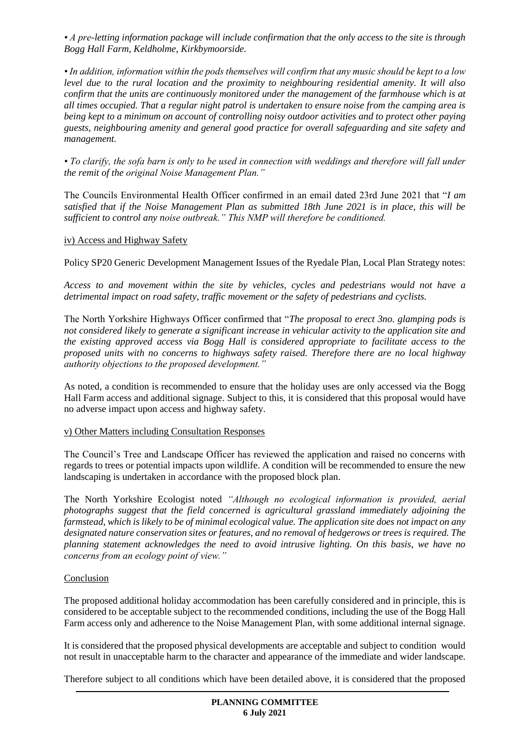*• A pre-letting information package will include confirmation that the only access to the site is through Bogg Hall Farm, Keldholme, Kirkbymoorside.* 

*• In addition, information within the pods themselves will confirm that any music should be kept to a low level due to the rural location and the proximity to neighbouring residential amenity. It will also confirm that the units are continuously monitored under the management of the farmhouse which is at all times occupied. That a regular night patrol is undertaken to ensure noise from the camping area is being kept to a minimum on account of controlling noisy outdoor activities and to protect other paying guests, neighbouring amenity and general good practice for overall safeguarding and site safety and management.* 

*• To clarify, the sofa barn is only to be used in connection with weddings and therefore will fall under the remit of the original Noise Management Plan."*

The Councils Environmental Health Officer confirmed in an email dated 23rd June 2021 that "*I am satisfied that if the Noise Management Plan as submitted 18th June 2021 is in place, this will be sufficient to control any noise outbreak." This NMP will therefore be conditioned.* 

### iv) Access and Highway Safety

Policy SP20 Generic Development Management Issues of the Ryedale Plan, Local Plan Strategy notes:

*Access to and movement within the site by vehicles, cycles and pedestrians would not have a detrimental impact on road safety, traffic movement or the safety of pedestrians and cyclists.*

The North Yorkshire Highways Officer confirmed that "*The proposal to erect 3no. glamping pods is not considered likely to generate a significant increase in vehicular activity to the application site and the existing approved access via Bogg Hall is considered appropriate to facilitate access to the proposed units with no concerns to highways safety raised. Therefore there are no local highway authority objections to the proposed development."*

As noted, a condition is recommended to ensure that the holiday uses are only accessed via the Bogg Hall Farm access and additional signage. Subject to this, it is considered that this proposal would have no adverse impact upon access and highway safety.

### v) Other Matters including Consultation Responses

The Council's Tree and Landscape Officer has reviewed the application and raised no concerns with regards to trees or potential impacts upon wildlife. A condition will be recommended to ensure the new landscaping is undertaken in accordance with the proposed block plan.

The North Yorkshire Ecologist noted *"Although no ecological information is provided, aerial photographs suggest that the field concerned is agricultural grassland immediately adjoining the farmstead, which is likely to be of minimal ecological value. The application site does not impact on any designated nature conservation sites or features, and no removal of hedgerows or trees is required. The planning statement acknowledges the need to avoid intrusive lighting. On this basis, we have no concerns from an ecology point of view."*

### **Conclusion**

The proposed additional holiday accommodation has been carefully considered and in principle, this is considered to be acceptable subject to the recommended conditions, including the use of the Bogg Hall Farm access only and adherence to the Noise Management Plan, with some additional internal signage.

It is considered that the proposed physical developments are acceptable and subject to condition would not result in unacceptable harm to the character and appearance of the immediate and wider landscape.

Therefore subject to all conditions which have been detailed above, it is considered that the proposed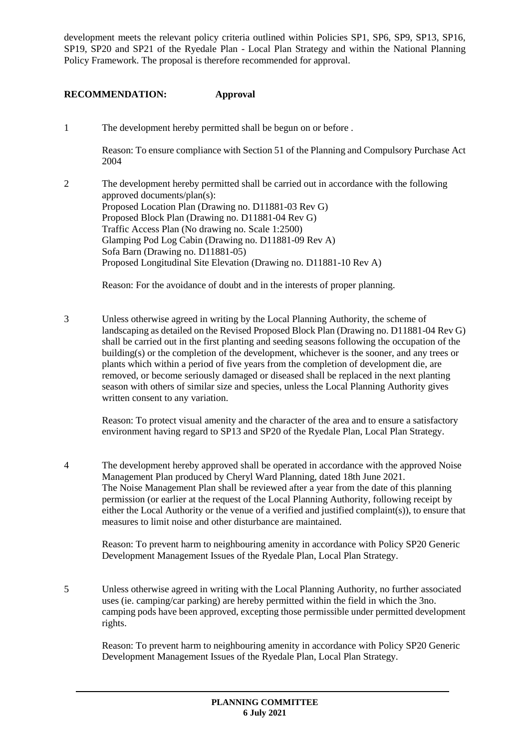development meets the relevant policy criteria outlined within Policies SP1, SP6, SP9, SP13, SP16, SP19, SP20 and SP21 of the Ryedale Plan - Local Plan Strategy and within the National Planning Policy Framework. The proposal is therefore recommended for approval.

## **RECOMMENDATION: Approval**

1 The development hereby permitted shall be begun on or before .

Reason: To ensure compliance with Section 51 of the Planning and Compulsory Purchase Act 2004

2 The development hereby permitted shall be carried out in accordance with the following approved documents/plan(s): Proposed Location Plan (Drawing no. D11881-03 Rev G) Proposed Block Plan (Drawing no. D11881-04 Rev G) Traffic Access Plan (No drawing no. Scale 1:2500) Glamping Pod Log Cabin (Drawing no. D11881-09 Rev A) Sofa Barn (Drawing no. D11881-05) Proposed Longitudinal Site Elevation (Drawing no. D11881-10 Rev A)

Reason: For the avoidance of doubt and in the interests of proper planning.

3 Unless otherwise agreed in writing by the Local Planning Authority, the scheme of landscaping as detailed on the Revised Proposed Block Plan (Drawing no. D11881-04 Rev G) shall be carried out in the first planting and seeding seasons following the occupation of the building(s) or the completion of the development, whichever is the sooner, and any trees or plants which within a period of five years from the completion of development die, are removed, or become seriously damaged or diseased shall be replaced in the next planting season with others of similar size and species, unless the Local Planning Authority gives written consent to any variation.

Reason: To protect visual amenity and the character of the area and to ensure a satisfactory environment having regard to SP13 and SP20 of the Ryedale Plan, Local Plan Strategy.

4 The development hereby approved shall be operated in accordance with the approved Noise Management Plan produced by Cheryl Ward Planning, dated 18th June 2021. The Noise Management Plan shall be reviewed after a year from the date of this planning permission (or earlier at the request of the Local Planning Authority, following receipt by either the Local Authority or the venue of a verified and justified complaint(s)), to ensure that measures to limit noise and other disturbance are maintained.

Reason: To prevent harm to neighbouring amenity in accordance with Policy SP20 Generic Development Management Issues of the Ryedale Plan, Local Plan Strategy.

5 Unless otherwise agreed in writing with the Local Planning Authority, no further associated uses (ie. camping/car parking) are hereby permitted within the field in which the 3no. camping pods have been approved, excepting those permissible under permitted development rights.

Reason: To prevent harm to neighbouring amenity in accordance with Policy SP20 Generic Development Management Issues of the Ryedale Plan, Local Plan Strategy.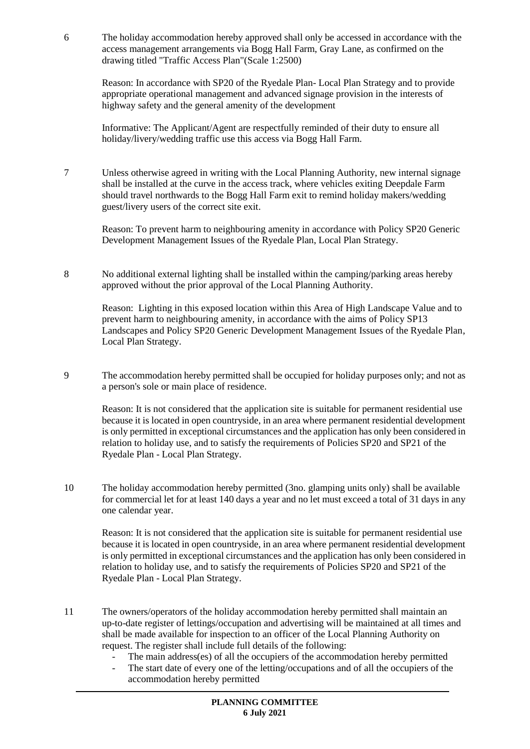6 The holiday accommodation hereby approved shall only be accessed in accordance with the access management arrangements via Bogg Hall Farm, Gray Lane, as confirmed on the drawing titled "Traffic Access Plan"(Scale 1:2500)

Reason: In accordance with SP20 of the Ryedale Plan- Local Plan Strategy and to provide appropriate operational management and advanced signage provision in the interests of highway safety and the general amenity of the development

Informative: The Applicant/Agent are respectfully reminded of their duty to ensure all holiday/livery/wedding traffic use this access via Bogg Hall Farm.

7 Unless otherwise agreed in writing with the Local Planning Authority, new internal signage shall be installed at the curve in the access track, where vehicles exiting Deepdale Farm should travel northwards to the Bogg Hall Farm exit to remind holiday makers/wedding guest/livery users of the correct site exit.

Reason: To prevent harm to neighbouring amenity in accordance with Policy SP20 Generic Development Management Issues of the Ryedale Plan, Local Plan Strategy.

8 No additional external lighting shall be installed within the camping/parking areas hereby approved without the prior approval of the Local Planning Authority.

Reason: Lighting in this exposed location within this Area of High Landscape Value and to prevent harm to neighbouring amenity, in accordance with the aims of Policy SP13 Landscapes and Policy SP20 Generic Development Management Issues of the Ryedale Plan, Local Plan Strategy.

9 The accommodation hereby permitted shall be occupied for holiday purposes only; and not as a person's sole or main place of residence.

Reason: It is not considered that the application site is suitable for permanent residential use because it is located in open countryside, in an area where permanent residential development is only permitted in exceptional circumstances and the application has only been considered in relation to holiday use, and to satisfy the requirements of Policies SP20 and SP21 of the Ryedale Plan - Local Plan Strategy.

10 The holiday accommodation hereby permitted (3no. glamping units only) shall be available for commercial let for at least 140 days a year and no let must exceed a total of 31 days in any one calendar year.

Reason: It is not considered that the application site is suitable for permanent residential use because it is located in open countryside, in an area where permanent residential development is only permitted in exceptional circumstances and the application has only been considered in relation to holiday use, and to satisfy the requirements of Policies SP20 and SP21 of the Ryedale Plan - Local Plan Strategy.

- 11 The owners/operators of the holiday accommodation hereby permitted shall maintain an up-to-date register of lettings/occupation and advertising will be maintained at all times and shall be made available for inspection to an officer of the Local Planning Authority on request. The register shall include full details of the following:
	- The main address(es) of all the occupiers of the accommodation hereby permitted
	- The start date of every one of the letting/occupations and of all the occupiers of the accommodation hereby permitted

**PLANNING COMMITTEE 6 July 2021**